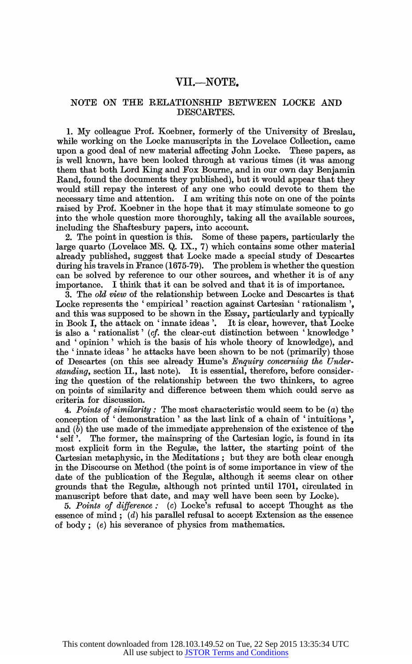## VII.—NOTE**.**

## NOTE ON THE RELATIONSHIP BETWEEN LOCKE AND DESCARTES.

1. My colleague Prof. Koebner, formerly of the University of Breslau, while working on the Locke manuscripts in the Lovelace Collection, came upon a good deal of new material affecting John Locke. These papers, as is well known, have been looked through at various times (it was among them that both Lord King and Fox Bourne, and in our own day Benjamin Rand, found the documents they published), but it would appear that they would still repay the interest of any one who could devote to them the necessary time and attention. I am writing this note on one of the points raised by Prof. Koebner in the hope that it may stimulate someone to go into the whole question more thoroughly, taking all the available sources, including the Shaftesbury papers, into account.

2. The point in question is this. Some of these papers, particularly the large quarto (Lovelace MS. Q. IX., 7) which contains some other material already published, suggest that Locke made a special study of Descartes during his travels in France (1675-79). The problem is whether the question can be solved by reference to our other sources, and whether it is of any importance. I think that it can be solved and that it is of importance.

3. The old view of the relationship between Locke and Descartes is that Locke represents the 'empirical' reaction against Cartesian 'rationalism', and this was supposed to be shown in the Essay, particularly and typically in Book I, the attack on 'innate ideas'. It is clear, however, that Locke is also a ' rationalist ' (cf. the clear-cut distinction between 'knowledge ' and 'opinion' which is the basis of his whole theory of knowledge), and the 'innate ideas' he attacks have been shown to be not (primarily) those of Descartes (on this see already Hume's Enquiry concerning the Understanding, section II., last note). It is essential, therefore, before considering the question of the relationship between the two thinkers, to agree on points of similarity and difference between them which could serve as criteria for discussion.

4. Points of similarity: The most characteristic would seem to be  $(a)$  the conception of 'demonstration' as the last link of a chain of 'intuitions', and (b) the use made of the immediate apprehension of the existence of the 'self '. The former, the mainspring of the Cartesian logic, is found in its most explicit form in the Regula, the latter, the starting point of the Cartesian metaphysic, in the Meditations; but they are both clear enough in the Discourse on Method (the point is of some importance in view of the date of the publication of the Regulæ, although it seems clear on other grounds that the Regule, although not printed until 1701, circulated in manuscript before that date, and may well have been seen by Locke).

5. Points of difference: (c) Locke's refusal to accept Thought as the essence of mind;  $(d)$  his parallel refusal to accept Extension as the essence of body; (e) his severance of physics from mathematics.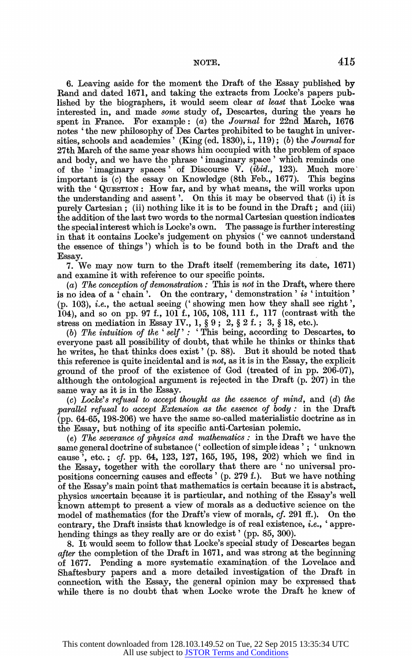NOTE. 415

6. Leaving aside for the moment the Draft of the Essay published by Rand and dated 1671, and taking the extracts from Locke's papers published by the biographers, it would seem clear at least that Locke was interested in, and made some study of, Descartes, during the years he spent in France. For example:  $(a)$  the Journal for 22nd March, 1676 notes 'the new philosophy of Des Cartes prohibited to be taught in universities, schools and academies' (King (ed. 1830), i., 119); (b) the Journal for 27th March of the same year shows him occupied with the problem of space and body, and we have the phrase 'imaginary space' which reminds one of the  $\cdot$  imaginary spaces  $\cdot$  of Discourse V. (ibid., 123). Much more important is (c) the essay on Knowledge (8th Feb., 1677). This begins with the 'QUESTION: How far, and by what means, the will works upon the understanding and assent'. On this it may be observed that (i) it is purely Cartesian; (ii) nothing like it is to be found in the Draft; and (iii) the addition of the last two words to the normal Cartesian question indicates the special interest which is Locke's own. The passage is further interesting in that it contains Locke's judgement on physics ('we cannot understand the essence of things ') which is to be found both in the Draft and the Essay.

7. We may now turn to the Draft itself (remembering its date, 1671) and examine it with refeience to our specific points.

(a) The conception of demonstration: This is not in the Draft, where there is no idea of a ' chain '. On the contrary, ' demonstration ' is ' intuition ' (p. 103), i.e., the actual seeing ('showing men how they shall see right', 104), and so on pp. 97 f., 101 f., 105, 108, 111 f., 117 (contrast with the stress on mediation in Essay IV.,  $1, §9$ ;  $2, §2$  f.;  $3, §18$ , etc.).

(b) The intuition of the 'self': 'This being, according to Descartes, to everyone past all possibility of doubt, that while he thinks or thinks that he writes, he that thinks does exist' (p. 88). But it should be noted that this reference is quite incidental and is not, as it is in the Essay, the explicit ground of the proof of the existence of God (treated of in pp. 206-07), although the ontological argument is rejected in the Draft (p. 207) in the same way as it is in the Essay.

(c) Locke's refusal to accept thought as the essence of mind, and (d) the parallel refusal to accept Extension as the essence of body: in the Draft (pp. 64-65, 198-206) we have the same so-called materialistic doctrine as in the Essay, but nothing of its specific anti-Cartesian polemic.

(e) The severance of physics and mathematics: in the Draft we have the same general doctrine of substance (' collection of simple ideas'; 'unknown cause', etc.; cf. pp. 64, 123, 127, 165, 195, 198, 202) which we find in the Essay, together with the corollary that there are 'no universal propositions concerning causes and effects' (p. 279 f.). But we have nothing of the Essay's main point that mathematics icertain because it is abstract, physics uncertain because it is particular, and nothing of the Essay's well known attempt to present a view of morals as a deductive science on the model of mathematics (for the Draft's view of morals,  $cf.$  291 ff.). On the contrary, the Draft insists that knowledge is of real existence, i.e., 'apprehending things as they really are or do exist' (pp. 85, 300).

8. It would seem to follow that Locke's special study of Descartes began after the completion of the Draft in 1671, and was strong at the beginning of 1677. Pending a more systematic examination, of the Lovelace and Shaftesbury papers and a more detailed investigation of the Draft in connection with the Essay, the general opinion may be expressed that while there is no doubt that when Locke wrote the Draft he knew of